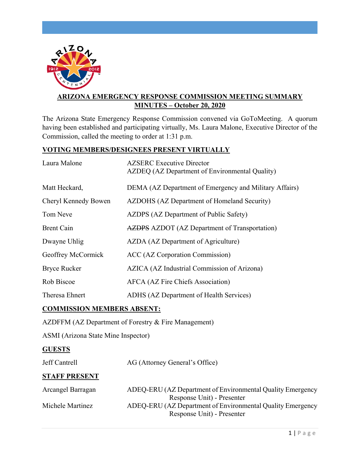

# **ARIZONA EMERGENCY RESPONSE COMMISSION MEETING SUMMARY MINUTES – October 20, 2020**

The Arizona State Emergency Response Commission convened via GoToMeeting. A quorum having been established and participating virtually, Ms. Laura Malone, Executive Director of the Commission, called the meeting to order at 1:31 p.m.

## **VOTING MEMBERS/DESIGNEES PRESENT VIRTUALLY**

| Laura Malone         | <b>AZSERC</b> Executive Director<br>AZDEQ (AZ Department of Environmental Quality) |
|----------------------|------------------------------------------------------------------------------------|
| Matt Heckard,        | DEMA (AZ Department of Emergency and Military Affairs)                             |
| Cheryl Kennedy Bowen | AZDOHS (AZ Department of Homeland Security)                                        |
| Tom Neve             | AZDPS (AZ Department of Public Safety)                                             |
| <b>Brent Cain</b>    | <b>AZDPS</b> AZDOT (AZ Department of Transportation)                               |
| Dwayne Uhlig         | AZDA (AZ Department of Agriculture)                                                |
| Geoffrey McCormick   | ACC (AZ Corporation Commission)                                                    |
| <b>Bryce Rucker</b>  | AZICA (AZ Industrial Commission of Arizona)                                        |
| Rob Biscoe           | AFCA (AZ Fire Chiefs Association)                                                  |
| Theresa Ehnert       | ADHS (AZ Department of Health Services)                                            |

# **COMMISSION MEMBERS ABSENT:**

AZDFFM (AZ Department of Forestry & Fire Management)

ASMI (Arizona State Mine Inspector)

## **GUESTS**

Jeff Cantrell AG (Attorney General's Office)

#### **STAFF PRESENT**

| Arcangel Barragan | ADEQ-ERU (AZ Department of Environmental Quality Emergency |
|-------------------|------------------------------------------------------------|
|                   | Response Unit) - Presenter                                 |
| Michele Martinez  | ADEQ-ERU (AZ Department of Environmental Quality Emergency |
|                   | Response Unit) - Presenter                                 |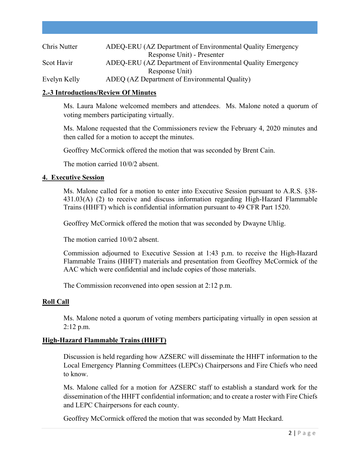| Chris Nutter | ADEQ-ERU (AZ Department of Environmental Quality Emergency |
|--------------|------------------------------------------------------------|
|              | Response Unit) - Presenter                                 |
| Scot Havir   | ADEQ-ERU (AZ Department of Environmental Quality Emergency |
|              | Response Unit)                                             |
| Evelyn Kelly | ADEQ (AZ Department of Environmental Quality)              |

### **2.-3 Introductions/Review Of Minutes**

Ms. Laura Malone welcomed members and attendees. Ms. Malone noted a quorum of voting members participating virtually.

Ms. Malone requested that the Commissioners review the February 4, 2020 minutes and then called for a motion to accept the minutes.

Geoffrey McCormick offered the motion that was seconded by Brent Cain.

The motion carried 10/0/2 absent.

#### **4. Executive Session**

Ms. Malone called for a motion to enter into Executive Session pursuant to A.R.S. §38- 431.03(A) (2) to receive and discuss information regarding High-Hazard Flammable Trains (HHFT) which is confidential information pursuant to 49 CFR Part 1520.

Geoffrey McCormick offered the motion that was seconded by Dwayne Uhlig.

The motion carried 10/0/2 absent.

Commission adjourned to Executive Session at 1:43 p.m. to receive the High-Hazard Flammable Trains (HHFT) materials and presentation from Geoffrey McCormick of the AAC which were confidential and include copies of those materials.

The Commission reconvened into open session at 2:12 p.m.

#### **Roll Call**

Ms. Malone noted a quorum of voting members participating virtually in open session at 2:12 p.m.

## **High-Hazard Flammable Trains (HHFT)**

Discussion is held regarding how AZSERC will disseminate the HHFT information to the Local Emergency Planning Committees (LEPCs) Chairpersons and Fire Chiefs who need to know.

Ms. Malone called for a motion for AZSERC staff to establish a standard work for the dissemination of the HHFT confidential information; and to create a roster with Fire Chiefs and LEPC Chairpersons for each county.

Geoffrey McCormick offered the motion that was seconded by Matt Heckard.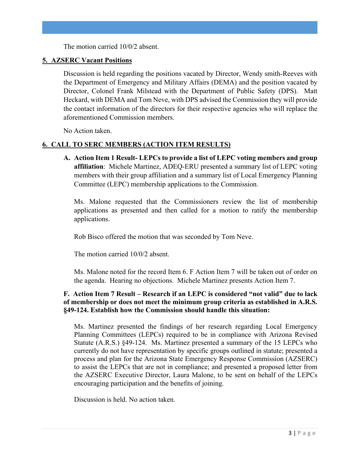The motion carried 10/0/2 absent.

### **5. AZSERC Vacant Positions**

Discussion is held regarding the positions vacated by Director, Wendy smith-Reeves with the Department of Emergency and Military Affairs (DEMA) and the position vacated by Director, Colonel Frank Milstead with the Department of Public Safety (DPS). Matt Heckard, with DEMA and Tom Neve, with DPS advised the Commission they will provide the contact information of the directors for their respective agencies who will replace the aforementioned Commission members.

No Action taken.

## **6. CALL TO SERC MEMBERS (ACTION ITEM RESULTS)**

**A. Action Item 1 Result- LEPCs to provide a list of LEPC voting members and group affiliation**: Michele Martinez, ADEQ-ERU presented a summary list of LEPC voting members with their group affiliation and a summary list of Local Emergency Planning Committee (LEPC) membership applications to the Commission.

Ms. Malone requested that the Commissioners review the list of membership applications as presented and then called for a motion to ratify the membership applications.

Rob Bisco offered the motion that was seconded by Tom Neve.

The motion carried 10/0/2 absent.

Ms. Malone noted for the record Item 6. F Action Item 7 will be taken out of order on the agenda. Hearing no objections. Michele Martinez presents Action Item 7.

## **F. Action Item 7 Result – Research if an LEPC is considered "not valid" due to lack of membership or does not meet the minimum group criteria as established in A.R.S. §49-124. Establish how the Commission should handle this situation:**

Ms. Martinez presented the findings of her research regarding Local Emergency Planning Committees (LEPCs) required to be in compliance with Arizona Revised Statute (A.R.S.) §49-124. Ms. Martinez presented a summary of the 15 LEPCs who currently do not have representation by specific groups outlined in statute; presented a process and plan for the Arizona State Emergency Response Commission (AZSERC) to assist the LEPCs that are not in compliance; and presented a proposed letter from the AZSERC Executive Director, Laura Malone, to be sent on behalf of the LEPCs encouraging participation and the benefits of joining.

Discussion is held. No action taken.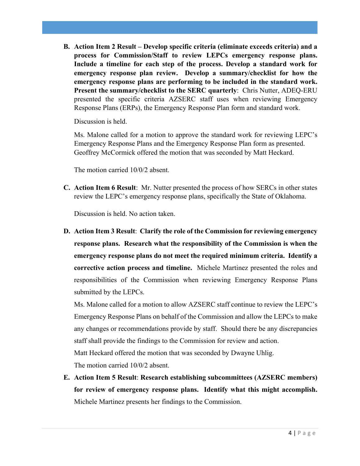**B. Action Item 2 Result – Develop specific criteria (eliminate exceeds criteria) and a process for Commission/Staff to review LEPCs emergency response plans. Include a timeline for each step of the process. Develop a standard work for emergency response plan review. Develop a summary/checklist for how the emergency response plans are performing to be included in the standard work. Present the summary/checklist to the SERC quarterly**: Chris Nutter, ADEQ-ERU presented the specific criteria AZSERC staff uses when reviewing Emergency Response Plans (ERPs), the Emergency Response Plan form and standard work.

Discussion is held.

Ms. Malone called for a motion to approve the standard work for reviewing LEPC's Emergency Response Plans and the Emergency Response Plan form as presented. Geoffrey McCormick offered the motion that was seconded by Matt Heckard.

The motion carried 10/0/2 absent.

**C. Action Item 6 Result**: Mr. Nutter presented the process of how SERCs in other states review the LEPC's emergency response plans, specifically the State of Oklahoma.

Discussion is held. No action taken.

**D. Action Item 3 Result**: **Clarify the role of the Commission for reviewing emergency response plans. Research what the responsibility of the Commission is when the emergency response plans do not meet the required minimum criteria. Identify a corrective action process and timeline.** Michele Martinez presented the roles and responsibilities of the Commission when reviewing Emergency Response Plans submitted by the LEPCs.

Ms. Malone called for a motion to allow AZSERC staff continue to review the LEPC's Emergency Response Plans on behalf of the Commission and allow the LEPCs to make any changes or recommendations provide by staff. Should there be any discrepancies staff shall provide the findings to the Commission for review and action. Matt Heckard offered the motion that was seconded by Dwayne Uhlig.

The motion carried 10/0/2 absent.

**E. Action Item 5 Result**: **Research establishing subcommittees (AZSERC members) for review of emergency response plans. Identify what this might accomplish.** Michele Martinez presents her findings to the Commission.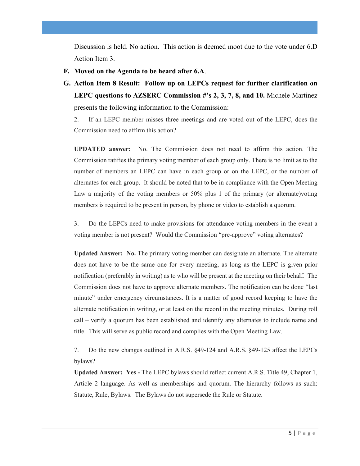Discussion is held. No action. This action is deemed moot due to the vote under 6.D Action Item 3.

- **F. Moved on the Agenda to be heard after 6.A**.
- **G. Action Item 8 Result: Follow up on LEPCs request for further clarification on LEPC questions to AZSERC Commission #'s 2, 3, 7, 8, and 10.** Michele Martinez presents the following information to the Commission:

2. If an LEPC member misses three meetings and are voted out of the LEPC, does the Commission need to affirm this action?

**UPDATED answer:** No. The Commission does not need to affirm this action. The Commission ratifies the primary voting member of each group only. There is no limit as to the number of members an LEPC can have in each group or on the LEPC, or the number of alternates for each group. It should be noted that to be in compliance with the Open Meeting Law a majority of the voting members or 50% plus 1 of the primary (or alternate)voting members is required to be present in person, by phone or video to establish a quorum.

3. Do the LEPCs need to make provisions for attendance voting members in the event a voting member is not present? Would the Commission "pre-approve" voting alternates?

**Updated Answer: No.** The primary voting member can designate an alternate. The alternate does not have to be the same one for every meeting, as long as the LEPC is given prior notification (preferably in writing) as to who will be present at the meeting on their behalf. The Commission does not have to approve alternate members. The notification can be done "last minute" under emergency circumstances. It is a matter of good record keeping to have the alternate notification in writing, or at least on the record in the meeting minutes. During roll call – verify a quorum has been established and identify any alternates to include name and title. This will serve as public record and complies with the Open Meeting Law.

7. Do the new changes outlined in A.R.S. §49-124 and A.R.S. §49-125 affect the LEPCs bylaws?

**Updated Answer: Yes -** The LEPC bylaws should reflect current A.R.S. Title 49, Chapter 1, Article 2 language. As well as memberships and quorum. The hierarchy follows as such: Statute, Rule, Bylaws. The Bylaws do not supersede the Rule or Statute.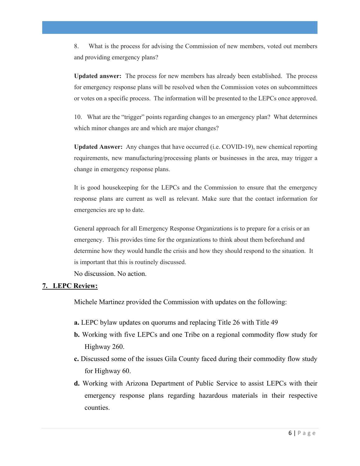8. What is the process for advising the Commission of new members, voted out members and providing emergency plans?

**Updated answer:** The process for new members has already been established. The process for emergency response plans will be resolved when the Commission votes on subcommittees or votes on a specific process. The information will be presented to the LEPCs once approved.

10. What are the "trigger" points regarding changes to an emergency plan? What determines which minor changes are and which are major changes?

**Updated Answer:** Any changes that have occurred (i.e. COVID-19), new chemical reporting requirements, new manufacturing/processing plants or businesses in the area, may trigger a change in emergency response plans.

It is good housekeeping for the LEPCs and the Commission to ensure that the emergency response plans are current as well as relevant. Make sure that the contact information for emergencies are up to date.

General approach for all Emergency Response Organizations is to prepare for a crisis or an emergency. This provides time for the organizations to think about them beforehand and determine how they would handle the crisis and how they should respond to the situation. It is important that this is routinely discussed.

No discussion. No action.

#### **7. LEPC Review:**

Michele Martinez provided the Commission with updates on the following:

- **a.** LEPC bylaw updates on quorums and replacing Title 26 with Title 49
- **b.** Working with five LEPCs and one Tribe on a regional commodity flow study for Highway 260.
- **c.** Discussed some of the issues Gila County faced during their commodity flow study for Highway 60.
- **d.** Working with Arizona Department of Public Service to assist LEPCs with their emergency response plans regarding hazardous materials in their respective counties.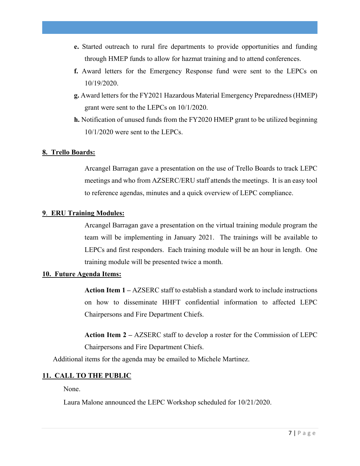- **e.** Started outreach to rural fire departments to provide opportunities and funding through HMEP funds to allow for hazmat training and to attend conferences.
- **f.** Award letters for the Emergency Response fund were sent to the LEPCs on 10/19/2020.
- **g.** Award letters for the FY2021 Hazardous Material Emergency Preparedness (HMEP) grant were sent to the LEPCs on 10/1/2020.
- **h.** Notification of unused funds from the FY2020 HMEP grant to be utilized beginning 10/1/2020 were sent to the LEPCs.

### **8. Trello Boards:**

Arcangel Barragan gave a presentation on the use of Trello Boards to track LEPC meetings and who from AZSERC/ERU staff attends the meetings. It is an easy tool to reference agendas, minutes and a quick overview of LEPC compliance.

#### **9**. **ERU Training Modules:**

Arcangel Barragan gave a presentation on the virtual training module program the team will be implementing in January 2021. The trainings will be available to LEPCs and first responders. Each training module will be an hour in length. One training module will be presented twice a month.

#### **10. Future Agenda Items:**

**Action Item 1 –** AZSERC staff to establish a standard work to include instructions on how to disseminate HHFT confidential information to affected LEPC Chairpersons and Fire Department Chiefs.

**Action Item 2 –** AZSERC staff to develop a roster for the Commission of LEPC Chairpersons and Fire Department Chiefs.

Additional items for the agenda may be emailed to Michele Martinez.

## **11. CALL TO THE PUBLIC**

None.

Laura Malone announced the LEPC Workshop scheduled for 10/21/2020.